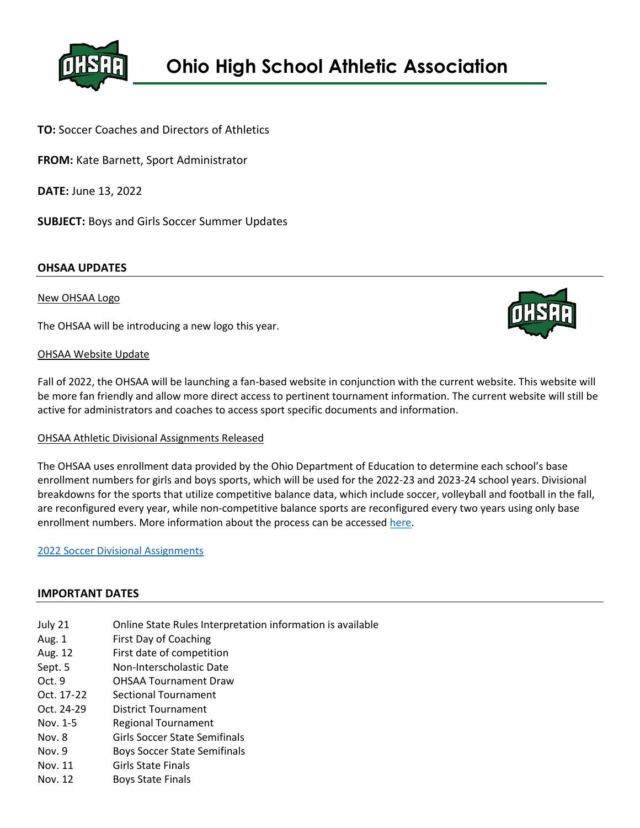

# **TO:** Soccer Coaches and Directors of Athletics

**FROM:** Kate Barnett, Sport Administrator

**DATE:** June 13, 2022

**SUBJECT:** Boys and Girls Soccer Summer Updates

# **OHSAA UPDATES**

### New OHSAA Logo

The OHSAA will be introducing a new logo this year.

### OHSAA Website Update

Fall of 2022, the OHSAA will be launching a fan-based website in conjunction with the current website. This website will be more fan friendly and allow more direct access to pertinent tournament information. The current website will still be active for administrators and coaches to access sport specific documents and information.

#### OHSAA Athletic Divisional Assignments Released

The OHSAA uses enrollment data provided by the Ohio Department of Education to determine each school's base enrollment numbers for girls and boys sports, which will be used for the 2022-23 and 2023-24 school years. Divisional breakdowns for the sports that utilize competitive balance data, which include soccer, volleyball and football in the fall, are reconfigured every year, while non-competitive balance sports are reconfigured every two years using only base enrollment numbers. More information about the process can be accessed [here.](https://www.ohsaa.org/Portals/0/SchoolResources/CompetitiveBalance/CompetitiveBalance101.pdf)

#### [2022 Soccer Divisional Assignments](https://www.ohsaa.org/Sports-Tournaments/Soccer/Soccer-2022)

#### **IMPORTANT DATES**

- July 21 Online State Rules Interpretation information is available
- Aug. 1 First Day of Coaching
- Aug. 12 First date of competition
- Sept. 5 Non-Interscholastic Date
- Oct. 9 OHSAA Tournament Draw
- Oct. 17-22 Sectional Tournament
- Oct. 24-29 District Tournament
- Nov. 1-5 Regional Tournament
- Nov. 8 Girls Soccer State Semifinals
- Nov. 9 Boys Soccer State Semifinals
- Nov. 11 Girls State Finals
- Nov. 12 Boys State Finals

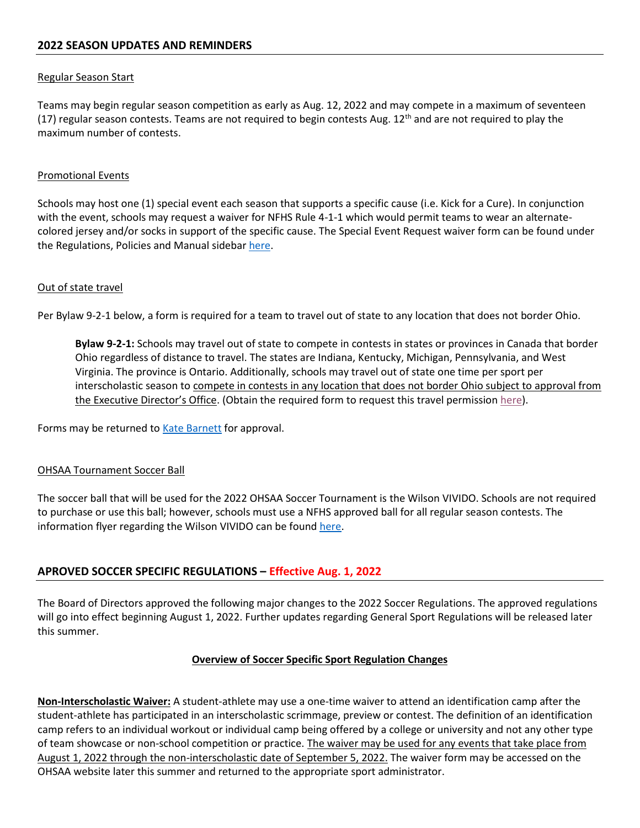# Regular Season Start

Teams may begin regular season competition as early as Aug. 12, 2022 and may compete in a maximum of seventeen (17) regular season contests. Teams are not required to begin contests Aug. 12<sup>th</sup> and are not required to play the maximum number of contests.

### Promotional Events

Schools may host one (1) special event each season that supports a specific cause (i.e. Kick for a Cure). In conjunction with the event, schools may request a waiver for NFHS Rule 4-1-1 which would permit teams to wear an alternatecolored jersey and/or socks in support of the specific cause. The Special Event Request waiver form can be found under the Regulations, Policies and Manual sidebar [here.](https://www.ohsaa.org/sports/soccer)

### Out of state travel

Per Bylaw 9-2-1 below, a form is required for a team to travel out of state to any location that does not border Ohio.

**Bylaw 9-2-1:** Schools may travel out of state to compete in contests in states or provinces in Canada that border Ohio regardless of distance to travel. The states are Indiana, Kentucky, Michigan, Pennsylvania, and West Virginia. The province is Ontario. Additionally, schools may travel out of state one time per sport per interscholastic season to compete in contests in any location that does not border Ohio subject to approval from the Executive Director's Office. (Obtain the required form to request this travel permission [here\)](https://ohsaaweb.blob.core.windows.net/files/Eligibility/forms/NonBorderingStateApproval.pdf).

Forms may be returned to **Kate Barnett** for approval.

#### OHSAA Tournament Soccer Ball

The soccer ball that will be used for the 2022 OHSAA Soccer Tournament is the Wilson VIVIDO. Schools are not required to purchase or use this ball; however, schools must use a NFHS approved ball for all regular season contests. The information flyer regarding the Wilson VIVIDO can be foun[d here.](https://ohsaaweb.blob.core.windows.net/files/Sports/Soccer/2022/Wilson_Vivido_Soccer_Ball_OHSAA.pdf)

# **APROVED SOCCER SPECIFIC REGULATIONS – Effective Aug. 1, 2022**

The Board of Directors approved the following major changes to the 2022 Soccer Regulations. The approved regulations will go into effect beginning August 1, 2022. Further updates regarding General Sport Regulations will be released later this summer.

# **Overview of Soccer Specific Sport Regulation Changes**

**Non-Interscholastic Waiver:** A student-athlete may use a one-time waiver to attend an identification camp after the student-athlete has participated in an interscholastic scrimmage, preview or contest. The definition of an identification camp refers to an individual workout or individual camp being offered by a college or university and not any other type of team showcase or non-school competition or practice. The waiver may be used for any events that take place from August 1, 2022 through the non-interscholastic date of September 5, 2022. The waiver form may be accessed on the OHSAA website later this summer and returned to the appropriate sport administrator.